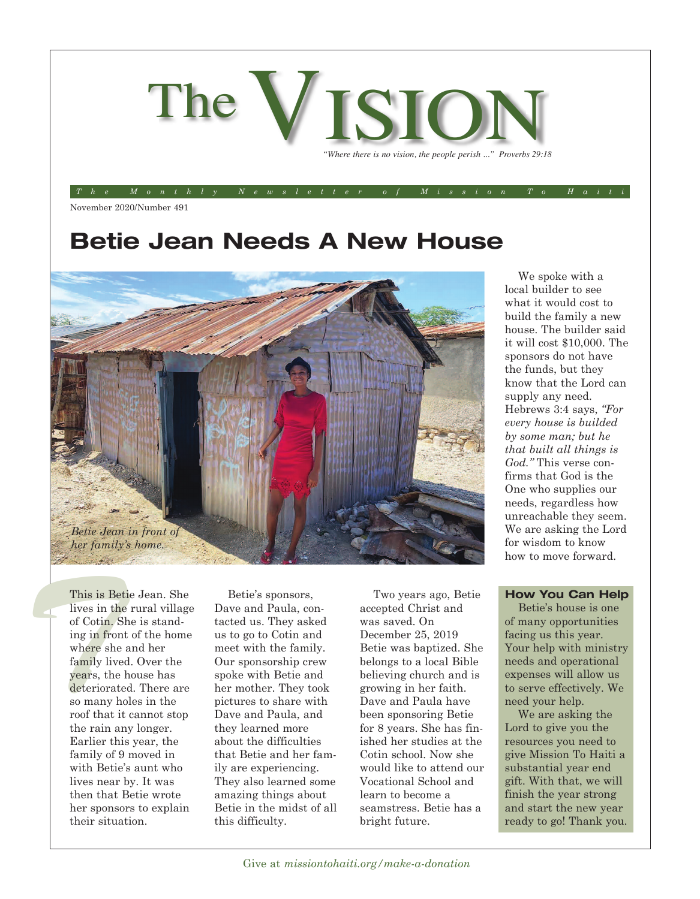

*The Monthly Newsletter of Mission To Haiti*

November 2020/Number 491

## **Betie Jean Needs A New House**



We spoke with a local builder to see what it would cost to build the family a new house. The builder said it will cost \$10,000. The sponsors do not have the funds, but they know that the Lord can supply any need. Hebrews 3:4 says, *"For every house is builded by some man; but he that built all things is God."* This verse confirms that God is the One who supplies our needs, regardless how unreachable they seem. We are asking the Lord for wisdom to know how to move forward.

This is Beticute in the of Cotin, Sh ing in front where she a family lived years, the h<br>deteriorated This is Betie Jean. She lives in the rural village of Cotin. She is standing in front of the home where she and her family lived. Over the years, the house has deteriorated. There are so many holes in the roof that it cannot stop the rain any longer. Earlier this year, the family of 9 moved in with Betie's aunt who lives near by. It was then that Betie wrote her sponsors to explain their situation.

Betie's sponsors, Dave and Paula, contacted us. They asked us to go to Cotin and meet with the family. Our sponsorship crew spoke with Betie and her mother. They took pictures to share with Dave and Paula, and they learned more about the difficulties that Betie and her family are experiencing. They also learned some amazing things about Betie in the midst of all this difficulty.

Two years ago, Betie accepted Christ and was saved. On December 25, 2019 Betie was baptized. She belongs to a local Bible believing church and is growing in her faith. Dave and Paula have been sponsoring Betie for 8 years. She has finished her studies at the Cotin school. Now she would like to attend our Vocational School and learn to become a seamstress. Betie has a bright future.

#### **How You Can Help**

Betie's house is one of many opportunities facing us this year. Your help with ministry needs and operational expenses will allow us to serve effectively. We need your help.

We are asking the Lord to give you the resources you need to give Mission To Haiti a substantial year end gift. With that, we will finish the year strong and start the new year ready to go! Thank you.